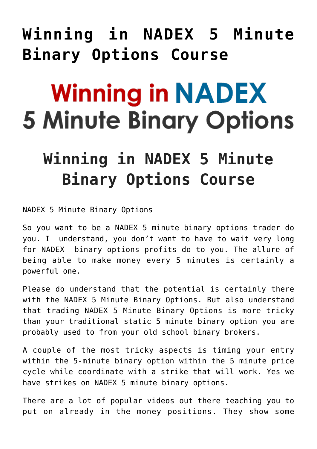## **[Winning in NADEX 5 Minute](https://binaryoptionsauthority.com/winning-nadex-5-minute-binary-options-course/) [Binary Options Course](https://binaryoptionsauthority.com/winning-nadex-5-minute-binary-options-course/)**

## **Winning in NADEX 5 Minute Binary Options**

## **Winning in NADEX 5 Minute Binary Options Course**

NADEX 5 Minute Binary Options

So you want to be a NADEX 5 minute binary options trader do you. I understand, you don't want to have to wait very long for NADEX binary options profits do to you. The allure of being able to make money every 5 minutes is certainly a powerful one.

Please do understand that the potential is certainly there with the NADEX 5 Minute Binary Options. But also understand that trading NADEX 5 Minute Binary Options is more tricky than your traditional static 5 minute binary option you are probably used to from your old school binary brokers.

A couple of the most tricky aspects is timing your entry within the 5-minute binary option within the 5 minute price cycle while coordinate with a strike that will work. Yes we have strikes on NADEX 5 minute binary options.

There are a lot of popular videos out there teaching you to put on already in the money positions. They show some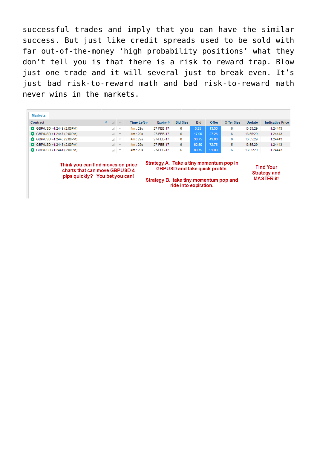successful trades and imply that you can have the similar success. But just like credit spreads used to be sold with far out-of-the-money 'high probability positions' what they don't tell you is that there is a risk to reward trap. Blow just one trade and it will several just to break even. It's just bad risk-to-reward math and bad risk-to-reward math never wins in the markets.

| pips quickly? You bet you can!                                     |                  |      |                  | Strategy B. take tiny momentum pop and                                           | ride into expiration. |            |       |            |                                  | <b>MASTER it!</b>       |
|--------------------------------------------------------------------|------------------|------|------------------|----------------------------------------------------------------------------------|-----------------------|------------|-------|------------|----------------------------------|-------------------------|
| Think you can find moves on price<br>charts that can move GBPUSD 4 |                  |      |                  | Strategy A. Take a tiny momentum pop in<br><b>GBPUSD and take quick profits.</b> |                       |            |       |            | <b>Find Your</b><br>Strategy and |                         |
| GBP/USD >1.2441 (2:00PM)                                           |                  | 計画する | 4m:29s           | 27-FEB-17                                                                        | 6                     | 80.75      | 91.00 | 6          | 13:55:29                         | 1.24443                 |
| GBP/USD >1.2443 (2:00PM)                                           |                  | 計画室  | 4m:29s           | 27-FEB-17                                                                        | 6                     | 62.50      | 72.75 | 5.         | 13:55:29                         | 1.24443                 |
| GBP/USD >1.2445 (2:00PM)                                           |                  | 計画学  | 4m:29s           | 27-FEB-17                                                                        | 6                     | 38.75      | 49.00 | 6          | 13:55:29                         | 1.24443                 |
| GBP/USD >1.2447 (2:00PM)                                           |                  | 計画室  | 4m:29s           | 27-FEB-17                                                                        | 6                     | 17.00      | 27.25 | 6          | 13:55:29                         | 1.24443                 |
| GBP/USD >1.2449 (2:00PM)                                           |                  | 計画学  | 4m:29s           | 27-FEB-17                                                                        | 6                     | 3.25       | 13.50 | 6          | 13:55:29                         | 1.24443                 |
| Contract                                                           | $\div$ at $\div$ |      | Time Left $\div$ | Expiry $\triangleq$                                                              | <b>Bid Size</b>       | <b>Bid</b> | Offer | Offer Size | <b>Update</b>                    | <b>Indicative Price</b> |